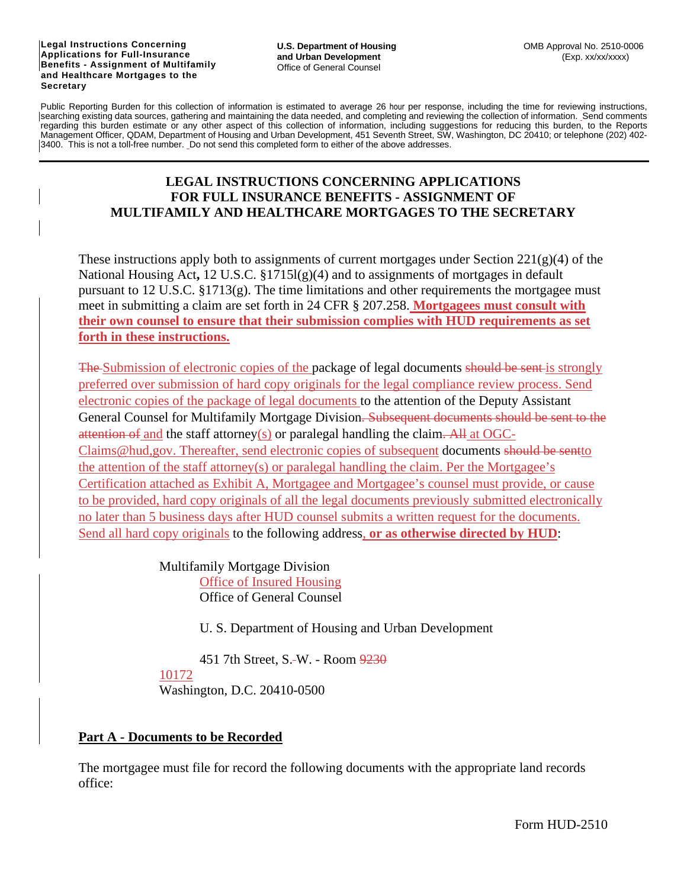#### **Legal Instructions Concerning Applications for Full-Insurance Benefits - Assignment of Multifamily and Healthcare Mortgages to the Secretary**

Public Reporting Burden for this collection of information is estimated to average 26 hour per response, including the time for reviewing instructions, searching existing data sources, gathering and maintaining the data needed, and completing and reviewing the collection of information. Send comments regarding this burden estimate or any other aspect of this collection of information, including suggestions for reducing this burden, to the Reports Management Officer, QDAM, Department of Housing and Urban Development, 451 Seventh Street, SW, Washington, DC 20410; or telephone (202) 402- 3400. This is not a toll-free number. Do not send this completed form to either of the above addresses.

### **LEGAL INSTRUCTIONS CONCERNING APPLICATIONS FOR FULL INSURANCE BENEFITS - ASSIGNMENT OF MULTIFAMILY AND HEALTHCARE MORTGAGES TO THE SECRETARY**

These instructions apply both to assignments of current mortgages under Section  $221(g)(4)$  of the National Housing Act**,** 12 U.S.C. §1715l(g)(4) and to assignments of mortgages in default pursuant to 12 U.S.C. §1713(g). The time limitations and other requirements the mortgagee must meet in submitting a claim are set forth in 24 CFR § 207.258. **Mortgagees must consult with their own counsel to ensure that their submission complies with HUD requirements as set forth in these instructions.**

The Submission of electronic copies of the package of legal documents should be sent is strongly preferred over submission of hard copy originals for the legal compliance review process. Send electronic copies of the package of legal documents to the attention of the Deputy Assistant General Counsel for Multifamily Mortgage Division. Subsequent documents should be sent to the attention of and the staff attorney(s) or paralegal handling the claim. All at OGC-Claims@hud,gov. Thereafter, send electronic copies of subsequent documents should be sentto the attention of the staff attorney(s) or paralegal handling the claim. Per the Mortgagee's Certification attached as Exhibit A, Mortgagee and Mortgagee's counsel must provide, or cause to be provided, hard copy originals of all the legal documents previously submitted electronically no later than 5 business days after HUD counsel submits a written request for the documents. Send all hard copy originals to the following address, **or as otherwise directed by HUD**:

Multifamily Mortgage Division

Office of Insured Housing Office of General Counsel

U. S. Department of Housing and Urban Development

451 7th Street, S.-W. - Room  $9230$ 

### 10172

Washington, D.C. 20410-0500

### **Part A - Documents to be Recorded**

The mortgagee must file for record the following documents with the appropriate land records office: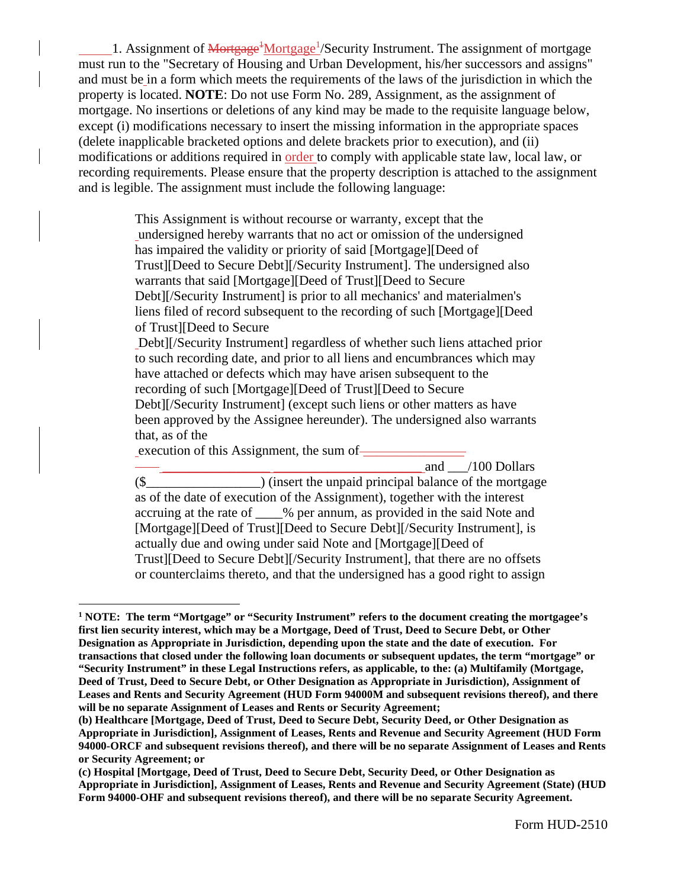1. Assignment of Mortgage<sup>1</sup>Mortgage<sup>1</sup>/Security Instrument. The assignment of mortgage must run to the "Secretary of Housing and Urban Development, his/her successors and assigns" and must be in a form which meets the requirements of the laws of the jurisdiction in which the property is located. **NOTE**: Do not use Form No. 289, Assignment, as the assignment of mortgage. No insertions or deletions of any kind may be made to the requisite language below, except (i) modifications necessary to insert the missing information in the appropriate spaces (delete inapplicable bracketed options and delete brackets prior to execution), and (ii) modifications or additions required in order to comply with applicable state law, local law, or recording requirements. Please ensure that the property description is attached to the assignment and is legible. The assignment must include the following language:

> This Assignment is without recourse or warranty, except that the undersigned hereby warrants that no act or omission of the undersigned has impaired the validity or priority of said [Mortgage][Deed of Trust][Deed to Secure Debt][/Security Instrument]. The undersigned also warrants that said [Mortgage][Deed of Trust][Deed to Secure Debt][/Security Instrument] is prior to all mechanics' and materialmen's liens filed of record subsequent to the recording of such [Mortgage][Deed of Trust][Deed to Secure

Debt][/Security Instrument] regardless of whether such liens attached prior to such recording date, and prior to all liens and encumbrances which may have attached or defects which may have arisen subsequent to the recording of such [Mortgage][Deed of Trust][Deed to Secure Debt][/Security Instrument] (except such liens or other matters as have been approved by the Assignee hereunder). The undersigned also warrants that, as of the

execution of this Assignment, the sum of

 \_\_\_\_\_\_\_\_\_\_\_\_\_\_\_\_ \_\_\_\_\_\_\_\_\_\_\_\_\_\_\_\_\_\_\_\_\_\_ and \_\_\_/100 Dollars (\$\_\_\_\_\_\_\_\_\_\_\_\_\_\_\_\_\_) (insert the unpaid principal balance of the mortgage as of the date of execution of the Assignment), together with the interest accruing at the rate of  $\frac{1}{2}$  % per annum, as provided in the said Note and [Mortgage][Deed of Trust][Deed to Secure Debt][/Security Instrument], is actually due and owing under said Note and [Mortgage][Deed of Trust][Deed to Secure Debt][/Security Instrument], that there are no offsets or counterclaims thereto, and that the undersigned has a good right to assign

<sup>&</sup>lt;sup>1</sup> NOTE: The term "Mortgage" or "Security Instrument" refers to the document creating the mortgagee's **first lien security interest, which may be a Mortgage, Deed of Trust, Deed to Secure Debt, or Other Designation as Appropriate in Jurisdiction, depending upon the state and the date of execution. For transactions that closed under the following loan documents or subsequent updates, the term "mortgage" or "Security Instrument" in these Legal Instructions refers, as applicable, to the: (a) Multifamily (Mortgage, Deed of Trust, Deed to Secure Debt, or Other Designation as Appropriate in Jurisdiction), Assignment of Leases and Rents and Security Agreement (HUD Form 94000M and subsequent revisions thereof), and there will be no separate Assignment of Leases and Rents or Security Agreement;** 

**<sup>(</sup>b) Healthcare [Mortgage, Deed of Trust, Deed to Secure Debt, Security Deed, or Other Designation as Appropriate in Jurisdiction], Assignment of Leases, Rents and Revenue and Security Agreement (HUD Form 94000-ORCF and subsequent revisions thereof), and there will be no separate Assignment of Leases and Rents or Security Agreement; or** 

**<sup>(</sup>c) Hospital [Mortgage, Deed of Trust, Deed to Secure Debt, Security Deed, or Other Designation as Appropriate in Jurisdiction], Assignment of Leases, Rents and Revenue and Security Agreement (State) (HUD**  Form 94000-OHF and subsequent revisions thereof), and there will be no separate Security Agreement.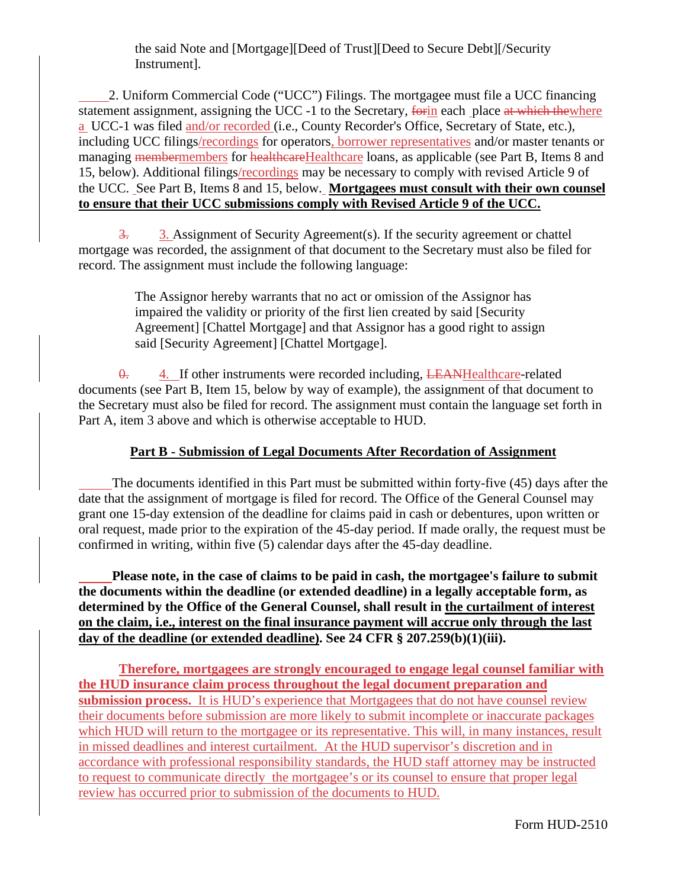the said Note and [Mortgage][Deed of Trust][Deed to Secure Debt][/Security Instrument].

2. Uniform Commercial Code ("UCC") Filings. The mortgagee must file a UCC financing statement assignment, assigning the UCC -1 to the Secretary, form each place at which thewhere a UCC-1 was filed and/or recorded (i.e., County Recorder's Office, Secretary of State, etc.), including UCC filings/recordings for operators, borrower representatives and/or master tenants or managing membermembers for healthcareHealthcare loans, as applicable (see Part B, Items 8 and 15, below). Additional filings/recordings may be necessary to comply with revised Article 9 of the UCC. See Part B, Items 8 and 15, below. **Mortgagees must consult with their own counsel to ensure that their UCC submissions comply with Revised Article 9 of the UCC.**

3. 3. Assignment of Security Agreement(s). If the security agreement or chattel mortgage was recorded, the assignment of that document to the Secretary must also be filed for record. The assignment must include the following language:

> The Assignor hereby warrants that no act or omission of the Assignor has impaired the validity or priority of the first lien created by said [Security Agreement] [Chattel Mortgage] and that Assignor has a good right to assign said [Security Agreement] [Chattel Mortgage].

0. 4. If other instruments were recorded including, LEANHealthcare-related documents (see Part B, Item 15, below by way of example), the assignment of that document to the Secretary must also be filed for record. The assignment must contain the language set forth in Part A, item 3 above and which is otherwise acceptable to HUD.

### **Part B - Submission of Legal Documents After Recordation of Assignment**

The documents identified in this Part must be submitted within forty-five (45) days after the date that the assignment of mortgage is filed for record. The Office of the General Counsel may grant one 15-day extension of the deadline for claims paid in cash or debentures, upon written or oral request, made prior to the expiration of the 45-day period. If made orally, the request must be confirmed in writing, within five (5) calendar days after the 45-day deadline.

**Please note, in the case of claims to be paid in cash, the mortgagee's failure to submit the documents within the deadline (or extended deadline) in a legally acceptable form, as determined by the Office of the General Counsel, shall result in the curtailment of interest on the claim, i.e., interest on the final insurance payment will accrue only through the last day of the deadline (or extended deadline). See 24 CFR § 207.259(b)(1)(iii).**

**Therefore, mortgagees are strongly encouraged to engage legal counsel familiar with the HUD insurance claim process throughout the legal document preparation and submission process.** It is HUD's experience that Mortgagees that do not have counsel review their documents before submission are more likely to submit incomplete or inaccurate packages which HUD will return to the mortgagee or its representative. This will, in many instances, result in missed deadlines and interest curtailment. At the HUD supervisor's discretion and in accordance with professional responsibility standards, the HUD staff attorney may be instructed to request to communicate directly the mortgagee's or its counsel to ensure that proper legal review has occurred prior to submission of the documents to HUD.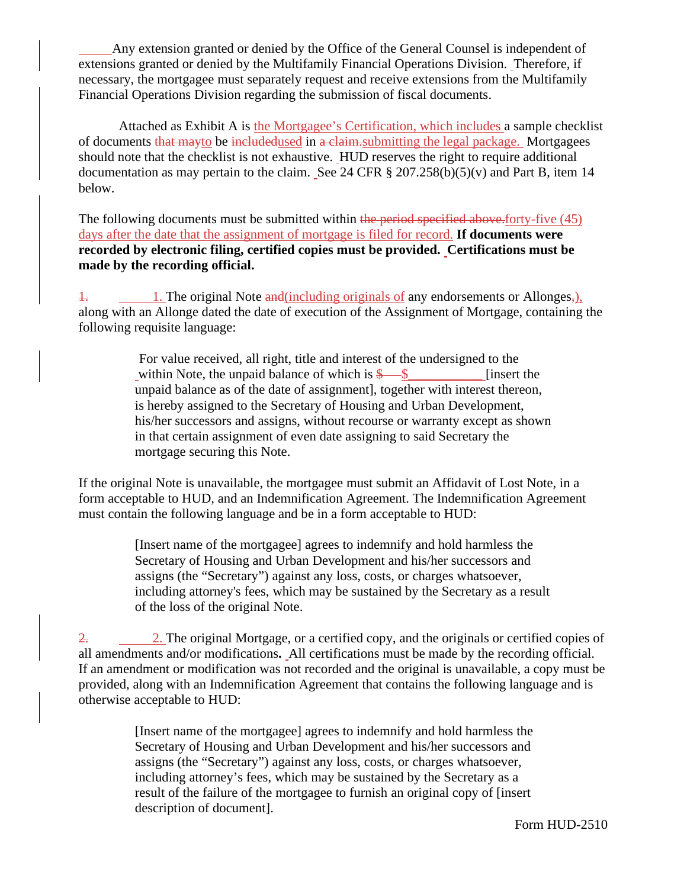Any extension granted or denied by the Office of the General Counsel is independent of extensions granted or denied by the Multifamily Financial Operations Division. Therefore, if necessary, the mortgagee must separately request and receive extensions from the Multifamily Financial Operations Division regarding the submission of fiscal documents.

Attached as Exhibit A is the Mortgagee's Certification, which includes a sample checklist of documents that mayto be includedused in a claim.submitting the legal package. Mortgagees should note that the checklist is not exhaustive. HUD reserves the right to require additional documentation as may pertain to the claim. See 24 CFR  $\S 207.258(b)(5)(v)$  and Part B, item 14 below.

The following documents must be submitted within the period specified above.forty-five (45) days after the date that the assignment of mortgage is filed for record. **If documents were recorded by electronic filing, certified copies must be provided. Certifications must be made by the recording official.**

1. 1. The original Note and(including originals of any endorsements or Allonges,), along with an Allonge dated the date of execution of the Assignment of Mortgage, containing the following requisite language:

> For value received, all right, title and interest of the undersigned to the within Note, the unpaid balance of which is  $\frac{2}{3}$  [insert the unpaid balance as of the date of assignment], together with interest thereon, is hereby assigned to the Secretary of Housing and Urban Development, his/her successors and assigns, without recourse or warranty except as shown in that certain assignment of even date assigning to said Secretary the mortgage securing this Note.

If the original Note is unavailable, the mortgagee must submit an Affidavit of Lost Note, in a form acceptable to HUD, and an Indemnification Agreement. The Indemnification Agreement must contain the following language and be in a form acceptable to HUD:

> [Insert name of the mortgagee] agrees to indemnify and hold harmless the Secretary of Housing and Urban Development and his/her successors and assigns (the "Secretary") against any loss, costs, or charges whatsoever, including attorney's fees, which may be sustained by the Secretary as a result of the loss of the original Note.

2. 2. The original Mortgage, or a certified copy, and the originals or certified copies of all amendments and/or modifications**.** All certifications must be made by the recording official. If an amendment or modification was not recorded and the original is unavailable, a copy must be provided, along with an Indemnification Agreement that contains the following language and is otherwise acceptable to HUD:

> [Insert name of the mortgagee] agrees to indemnify and hold harmless the Secretary of Housing and Urban Development and his/her successors and assigns (the "Secretary") against any loss, costs, or charges whatsoever, including attorney's fees, which may be sustained by the Secretary as a result of the failure of the mortgagee to furnish an original copy of [insert description of document].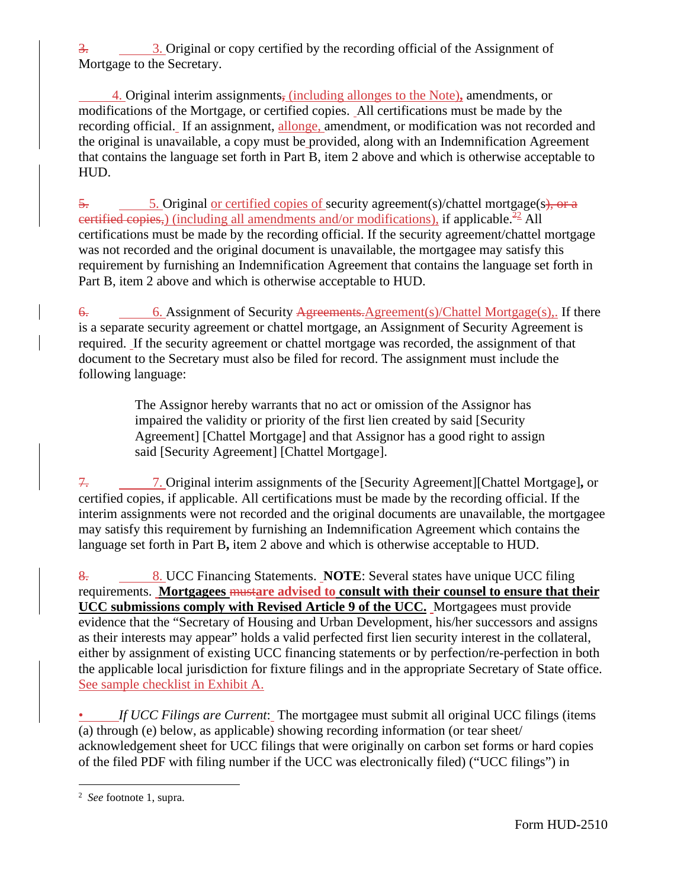3. 3. Original or copy certified by the recording official of the Assignment of Mortgage to the Secretary.

 4. Original interim assignments**,** (including allonges to the Note)**,** amendments, or modifications of the Mortgage, or certified copies. All certifications must be made by the recording official. If an assignment, allonge, amendment, or modification was not recorded and the original is unavailable, a copy must be provided, along with an Indemnification Agreement that contains the language set forth in Part B, item 2 above and which is otherwise acceptable to HUD.

5. 5. Original or certified copies of security agreement(s)/chattel mortgage(s), or a certified copies,) (including all amendments and/or modifications), if applicable.<sup>22</sup> All certifications must be made by the recording official. If the security agreement/chattel mortgage was not recorded and the original document is unavailable, the mortgagee may satisfy this requirement by furnishing an Indemnification Agreement that contains the language set forth in Part B, item 2 above and which is otherwise acceptable to HUD.

6. 6. Assignment of Security Agreements.Agreement(s)/Chattel Mortgage(s),. If there is a separate security agreement or chattel mortgage, an Assignment of Security Agreement is required. If the security agreement or chattel mortgage was recorded, the assignment of that document to the Secretary must also be filed for record. The assignment must include the following language:

> The Assignor hereby warrants that no act or omission of the Assignor has impaired the validity or priority of the first lien created by said [Security Agreement] [Chattel Mortgage] and that Assignor has a good right to assign said [Security Agreement] [Chattel Mortgage].

7. 7. Original interim assignments of the [Security Agreement][Chattel Mortgage]**,** or certified copies, if applicable. All certifications must be made by the recording official. If the interim assignments were not recorded and the original documents are unavailable, the mortgagee may satisfy this requirement by furnishing an Indemnification Agreement which contains the language set forth in Part B**,** item 2 above and which is otherwise acceptable to HUD.

8. 8. UCC Financing Statements. **NOTE**: Several states have unique UCC filing requirements. Mortgagees **mustare advised to consult with their counsel to ensure that their UCC submissions comply with Revised Article 9 of the UCC.** Mortgagees must provide evidence that the "Secretary of Housing and Urban Development, his/her successors and assigns as their interests may appear" holds a valid perfected first lien security interest in the collateral, either by assignment of existing UCC financing statements or by perfection/re-perfection in both the applicable local jurisdiction for fixture filings and in the appropriate Secretary of State office. See sample checklist in Exhibit A.

• *If UCC Filings are Current*: The mortgagee must submit all original UCC filings (items (a) through (e) below, as applicable) showing recording information (or tear sheet/ acknowledgement sheet for UCC filings that were originally on carbon set forms or hard copies of the filed PDF with filing number if the UCC was electronically filed) ("UCC filings") in

<sup>2</sup> *See* footnote 1, supra.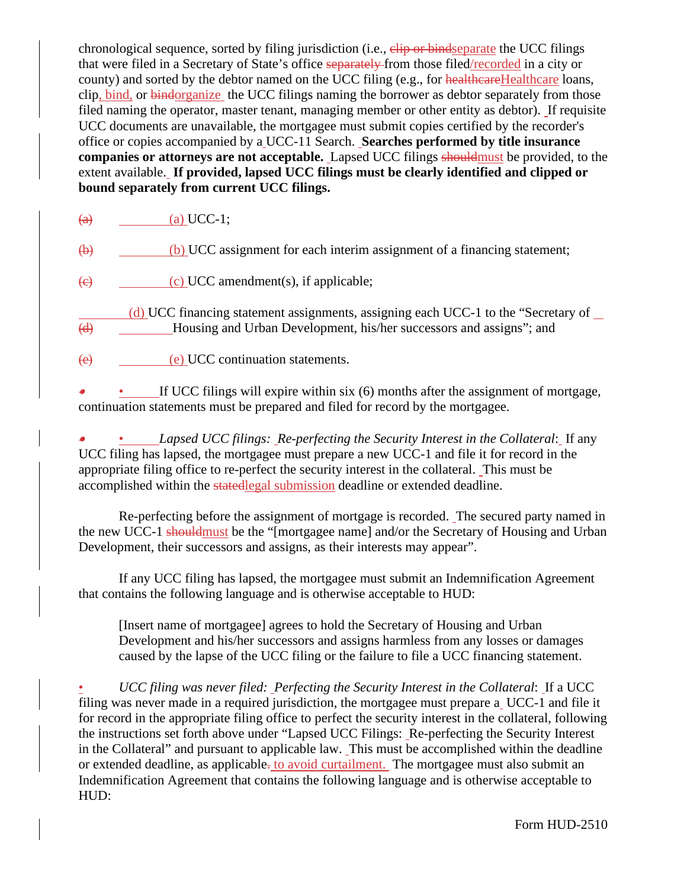chronological sequence, sorted by filing jurisdiction (i.e., elip or bindseparate the UCC filings that were filed in a Secretary of State's office separately from those filed/recorded in a city or county) and sorted by the debtor named on the UCC filing (e.g., for healthcareHealthcare loans, clip, bind, or bindorganize the UCC filings naming the borrower as debtor separately from those filed naming the operator, master tenant, managing member or other entity as debtor). If requisite UCC documents are unavailable, the mortgagee must submit copies certified by the recorder's office or copies accompanied by a UCC-11 Search. **Searches performed by title insurance companies or attorneys are not acceptable.** Lapsed UCC filings shouldmust be provided, to the extent available. **If provided, lapsed UCC filings must be clearly identified and clipped or bound separately from current UCC filings.**

- (a)  $\text{UCC-1};$
- (b) (b) UCC assignment for each interim assignment of a financing statement;
- $\overline{(c)}$  UCC amendment(s), if applicable;
- (d) UCC financing statement assignments, assigning each UCC-1 to the "Secretary of (d) Housing and Urban Development, his/her successors and assigns"; and
- (e) (e) UCC continuation statements.

0 • If UCC filings will expire within six (6) months after the assignment of mortgage, continuation statements must be prepared and filed for record by the mortgagee.

. • *Lapsed UCC filings: Re-perfecting the Security Interest in the Collateral*: If any UCC filing has lapsed, the mortgagee must prepare a new UCC-1 and file it for record in the appropriate filing office to re-perfect the security interest in the collateral. This must be accomplished within the statedlegal submission deadline or extended deadline.

Re-perfecting before the assignment of mortgage is recorded. The secured party named in the new UCC-1 shouldmust be the "[mortgagee name] and/or the Secretary of Housing and Urban Development, their successors and assigns, as their interests may appear".

If any UCC filing has lapsed, the mortgagee must submit an Indemnification Agreement that contains the following language and is otherwise acceptable to HUD:

[Insert name of mortgagee] agrees to hold the Secretary of Housing and Urban Development and his/her successors and assigns harmless from any losses or damages caused by the lapse of the UCC filing or the failure to file a UCC financing statement.

• *UCC filing was never filed: Perfecting the Security Interest in the Collateral*: If a UCC filing was never made in a required jurisdiction, the mortgagee must prepare a UCC-1 and file it for record in the appropriate filing office to perfect the security interest in the collateral, following the instructions set forth above under "Lapsed UCC Filings: Re-perfecting the Security Interest in the Collateral" and pursuant to applicable law. This must be accomplished within the deadline or extended deadline, as applicable. to avoid curtailment. The mortgagee must also submit an Indemnification Agreement that contains the following language and is otherwise acceptable to HUD: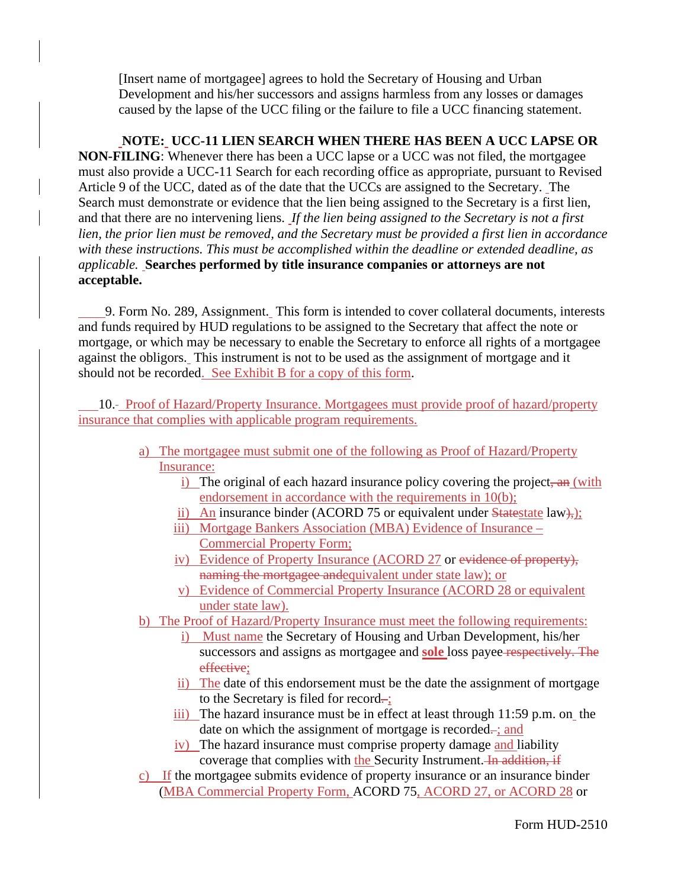[Insert name of mortgagee] agrees to hold the Secretary of Housing and Urban Development and his/her successors and assigns harmless from any losses or damages caused by the lapse of the UCC filing or the failure to file a UCC financing statement.

**NOTE: UCC-11 LIEN SEARCH WHEN THERE HAS BEEN A UCC LAPSE OR NON-FILING**: Whenever there has been a UCC lapse or a UCC was not filed, the mortgagee must also provide a UCC-11 Search for each recording office as appropriate, pursuant to Revised Article 9 of the UCC, dated as of the date that the UCCs are assigned to the Secretary. The Search must demonstrate or evidence that the lien being assigned to the Secretary is a first lien, and that there are no intervening liens. *If the lien being assigned to the Secretary is not a first lien, the prior lien must be removed, and the Secretary must be provided a first lien in accordance with these instructions. This must be accomplished within the deadline or extended deadline, as applicable.* **Searches performed by title insurance companies or attorneys are not acceptable.**

9. Form No. 289, Assignment. This form is intended to cover collateral documents, interests and funds required by HUD regulations to be assigned to the Secretary that affect the note or mortgage, or which may be necessary to enable the Secretary to enforce all rights of a mortgagee against the obligors. This instrument is not to be used as the assignment of mortgage and it should not be recorded. See Exhibit B for a copy of this form.

10. Proof of Hazard/Property Insurance. Mortgagees must provide proof of hazard/property insurance that complies with applicable program requirements.

- a) The mortgagee must submit one of the following as Proof of Hazard/Property Insurance:
	- i) The original of each hazard insurance policy covering the project, an (with endorsement in accordance with the requirements in 10(b);
	- ii) An insurance binder (ACORD 75 or equivalent under Statestate law),);
	- iii) Mortgage Bankers Association (MBA) Evidence of Insurance Commercial Property Form;
	- iv) Evidence of Property Insurance (ACORD 27 or evidence of property), naming the mortgagee and equivalent under state law); or
	- v) Evidence of Commercial Property Insurance (ACORD 28 or equivalent under state law).

b) The Proof of Hazard/Property Insurance must meet the following requirements:

- i) Must name the Secretary of Housing and Urban Development, his/her successors and assigns as mortgagee and **sole** loss payee respectively. The effective;
- ii) The date of this endorsement must be the date the assignment of mortgage to the Secretary is filed for record-;
- iii) The hazard insurance must be in effect at least through 11:59 p.m. on the date on which the assignment of mortgage is recorded-; and
- iv) The hazard insurance must comprise property damage and liability coverage that complies with the Security Instrument. In addition, if
- c) If the mortgagee submits evidence of property insurance or an insurance binder (MBA Commercial Property Form, ACORD 75, ACORD 27, or ACORD 28 or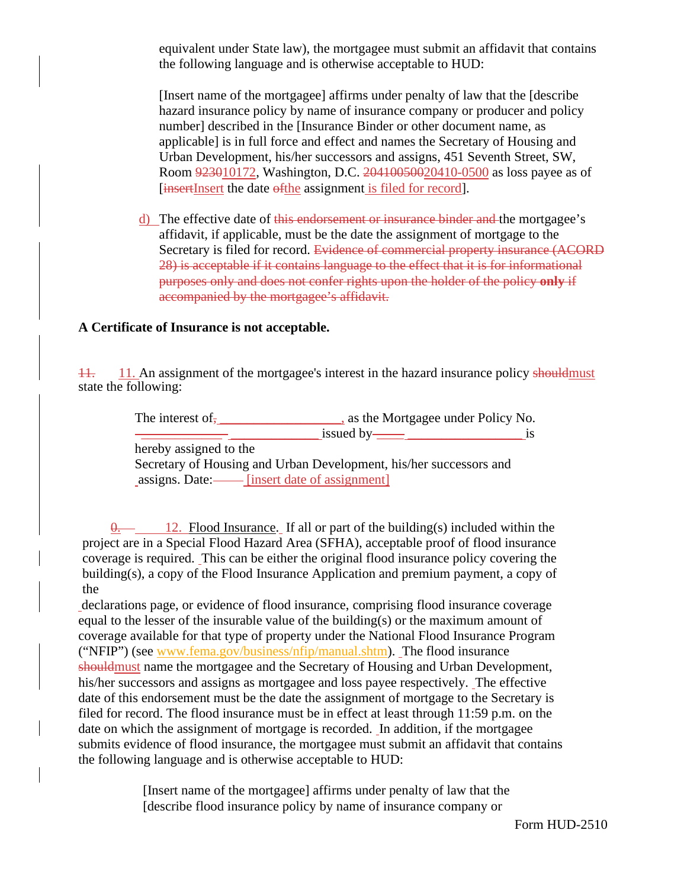equivalent under State law), the mortgagee must submit an affidavit that contains the following language and is otherwise acceptable to HUD:

[Insert name of the mortgagee] affirms under penalty of law that the [describe hazard insurance policy by name of insurance company or producer and policy number] described in the [Insurance Binder or other document name, as applicable] is in full force and effect and names the Secretary of Housing and Urban Development, his/her successors and assigns, 451 Seventh Street, SW, Room 923010172, Washington, D.C. 20410050020410-0500 as loss payee as of [insertInsert the date ofthe assignment is filed for record].

d) The effective date of this endorsement or insurance binder and the mortgagee's affidavit, if applicable, must be the date the assignment of mortgage to the Secretary is filed for record. Evidence of commercial property insurance (ACORD 28) is acceptable if it contains language to the effect that it is for informational purposes only and does not confer rights upon the holder of the policy **only** if accompanied by the mortgagee's affidavit.

### **A Certificate of Insurance is not acceptable.**

11. 11. An assignment of the mortgagee's interest in the hazard insurance policy shouldmust state the following:

| The interest of $\frac{1}{2}$                       | as the Mortgagee under Policy No.                                  |           |
|-----------------------------------------------------|--------------------------------------------------------------------|-----------|
|                                                     | issued by $\frac{\phantom{1}}{\phantom{1}}$                        | <b>1S</b> |
| hereby assigned to the                              |                                                                    |           |
|                                                     | Secretary of Housing and Urban Development, his/her successors and |           |
| assigns. Date:—— <u>[insert date of assignment]</u> |                                                                    |           |

 $\theta$ . 12. Flood Insurance. If all or part of the building(s) included within the project are in a Special Flood Hazard Area (SFHA), acceptable proof of flood insurance coverage is required. This can be either the original flood insurance policy covering the building(s), a copy of the Flood Insurance Application and premium payment, a copy of the

declarations page, or evidence of flood insurance, comprising flood insurance coverage equal to the lesser of the insurable value of the building(s) or the maximum amount of coverage available for that type of property under the National Flood Insurance Program ("NFIP") (see www.fema.gov/business/nfip/manual.shtm). The flood insurance should must name the mortgagee and the Secretary of Housing and Urban Development, his/her successors and assigns as mortgagee and loss payee respectively. The effective date of this endorsement must be the date the assignment of mortgage to the Secretary is filed for record. The flood insurance must be in effect at least through 11:59 p.m. on the date on which the assignment of mortgage is recorded. In addition, if the mortgagee submits evidence of flood insurance, the mortgagee must submit an affidavit that contains the following language and is otherwise acceptable to HUD:

> [Insert name of the mortgagee] affirms under penalty of law that the [describe flood insurance policy by name of insurance company or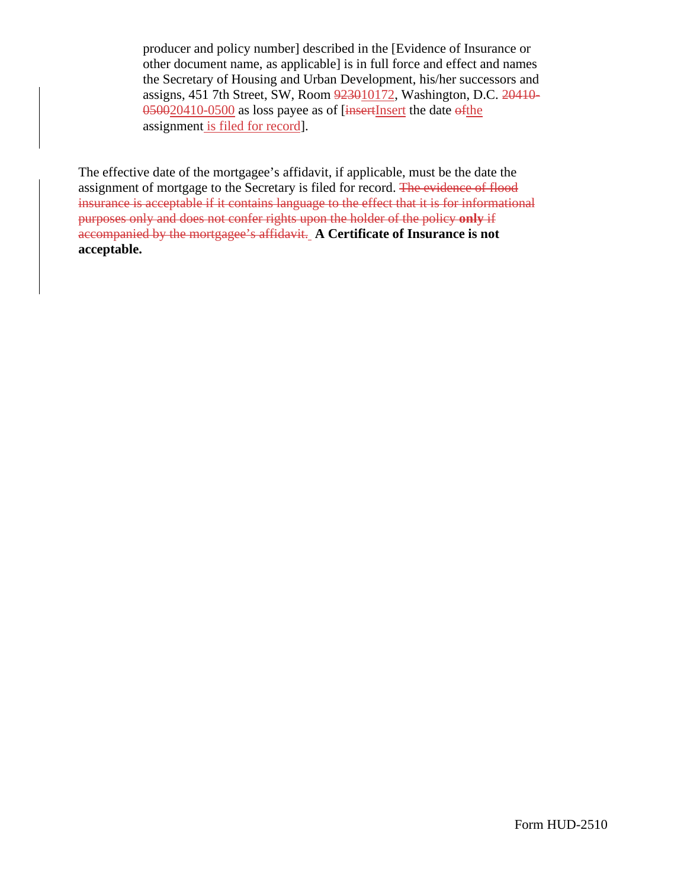producer and policy number] described in the [Evidence of Insurance or other document name, as applicable] is in full force and effect and names the Secretary of Housing and Urban Development, his/her successors and assigns, 451 7th Street, SW, Room 923010172, Washington, D.C. 20410- 050020410-0500 as loss payee as of [insertInsert the date of the assignment is filed for record].

The effective date of the mortgagee's affidavit, if applicable, must be the date the assignment of mortgage to the Secretary is filed for record. The evidence of flood insurance is acceptable if it contains language to the effect that it is for informational purposes only and does not confer rights upon the holder of the policy **only** if accompanied by the mortgagee's affidavit. **A Certificate of Insurance is not acceptable.**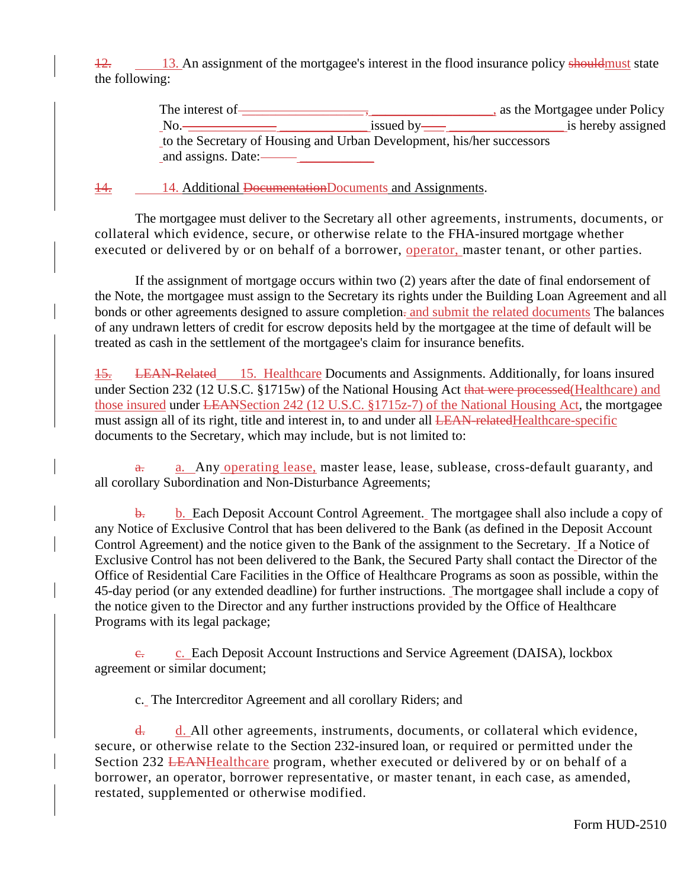12. 13. An assignment of the mortgagee's interest in the flood insurance policy shouldmust state the following:

| The interest of-                                                      | , as the Mortgagee under Policy                         |
|-----------------------------------------------------------------------|---------------------------------------------------------|
| No.                                                                   | is hereby assigned<br>issued by $\frac{1}{\sqrt{2\pi}}$ |
| to the Secretary of Housing and Urban Development, his/her successors |                                                         |
| and assigns. Date:——                                                  |                                                         |

14. 14. Additional DocumentationDocuments and Assignments.

The mortgagee must deliver to the Secretary all other agreements, instruments, documents, or collateral which evidence, secure, or otherwise relate to the FHA-insured mortgage whether executed or delivered by or on behalf of a borrower, operator, master tenant, or other parties.

If the assignment of mortgage occurs within two (2) years after the date of final endorsement of the Note, the mortgagee must assign to the Secretary its rights under the Building Loan Agreement and all bonds or other agreements designed to assure completion. and submit the related documents The balances of any undrawn letters of credit for escrow deposits held by the mortgagee at the time of default will be treated as cash in the settlement of the mortgagee's claim for insurance benefits.

15. LEAN-Related 15. Healthcare Documents and Assignments. Additionally, for loans insured under Section 232 (12 U.S.C. §1715w) of the National Housing Act that were processed(Healthcare) and those insured under LEANSection 242 (12 U.S.C. §1715z-7) of the National Housing Act, the mortgagee must assign all of its right, title and interest in, to and under all LEAN-relatedHealthcare-specific documents to the Secretary, which may include, but is not limited to:

a. Any operating lease, master lease, lease, sublease, cross-default guaranty, and all corollary Subordination and Non-Disturbance Agreements;

b. b. Each Deposit Account Control Agreement. The mortgagee shall also include a copy of any Notice of Exclusive Control that has been delivered to the Bank (as defined in the Deposit Account Control Agreement) and the notice given to the Bank of the assignment to the Secretary. If a Notice of Exclusive Control has not been delivered to the Bank, the Secured Party shall contact the Director of the Office of Residential Care Facilities in the Office of Healthcare Programs as soon as possible, within the 45-day period (or any extended deadline) for further instructions. The mortgagee shall include a copy of the notice given to the Director and any further instructions provided by the Office of Healthcare Programs with its legal package;

c. c. Each Deposit Account Instructions and Service Agreement (DAISA), lockbox agreement or similar document;

c. The Intercreditor Agreement and all corollary Riders; and

d. d. All other agreements, instruments, documents, or collateral which evidence, secure, or otherwise relate to the Section 232-insured loan, or required or permitted under the Section 232 LEANHealthcare program, whether executed or delivered by or on behalf of a borrower, an operator, borrower representative, or master tenant, in each case, as amended, restated, supplemented or otherwise modified.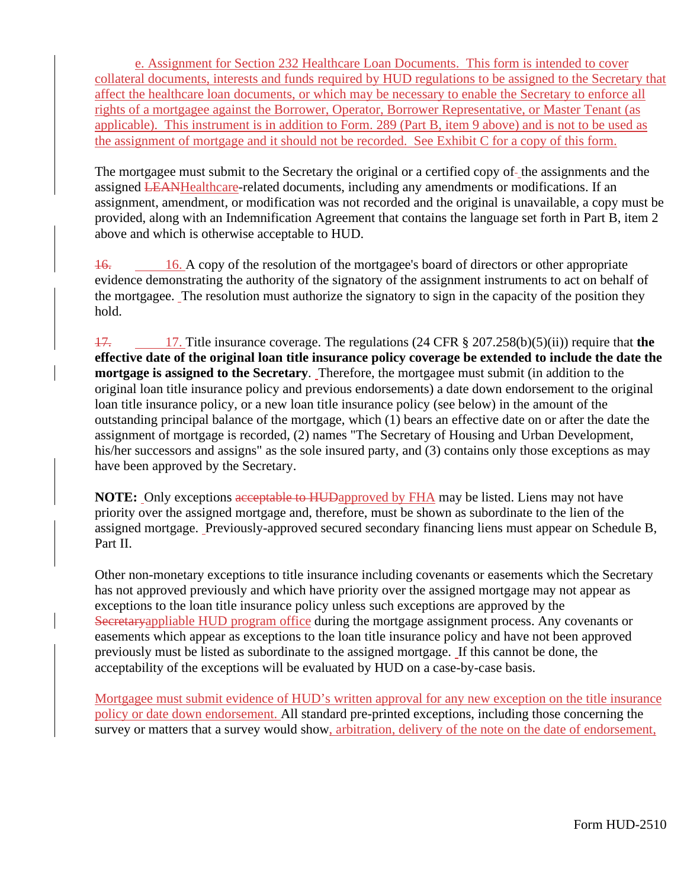e. Assignment for Section 232 Healthcare Loan Documents. This form is intended to cover collateral documents, interests and funds required by HUD regulations to be assigned to the Secretary that affect the healthcare loan documents, or which may be necessary to enable the Secretary to enforce all rights of a mortgagee against the Borrower, Operator, Borrower Representative, or Master Tenant (as applicable). This instrument is in addition to Form. 289 (Part B, item 9 above) and is not to be used as the assignment of mortgage and it should not be recorded. See Exhibit C for a copy of this form.

The mortgagee must submit to the Secretary the original or a certified copy of-the assignments and the assigned LEANHealthcare-related documents, including any amendments or modifications. If an assignment, amendment, or modification was not recorded and the original is unavailable, a copy must be provided, along with an Indemnification Agreement that contains the language set forth in Part B, item 2 above and which is otherwise acceptable to HUD.

16. 16. A copy of the resolution of the mortgagee's board of directors or other appropriate evidence demonstrating the authority of the signatory of the assignment instruments to act on behalf of the mortgagee. The resolution must authorize the signatory to sign in the capacity of the position they hold.

17. 17. Title insurance coverage. The regulations (24 CFR § 207.258(b)(5)(ii)) require that **the effective date of the original loan title insurance policy coverage be extended to include the date the mortgage is assigned to the Secretary**. Therefore, the mortgagee must submit (in addition to the original loan title insurance policy and previous endorsements) a date down endorsement to the original loan title insurance policy, or a new loan title insurance policy (see below) in the amount of the outstanding principal balance of the mortgage, which (1) bears an effective date on or after the date the assignment of mortgage is recorded, (2) names "The Secretary of Housing and Urban Development, his/her successors and assigns" as the sole insured party, and (3) contains only those exceptions as may have been approved by the Secretary.

**NOTE:** Only exceptions acceptable to HUDapproved by FHA may be listed. Liens may not have priority over the assigned mortgage and, therefore, must be shown as subordinate to the lien of the assigned mortgage. Previously-approved secured secondary financing liens must appear on Schedule B, Part II.

Other non-monetary exceptions to title insurance including covenants or easements which the Secretary has not approved previously and which have priority over the assigned mortgage may not appear as exceptions to the loan title insurance policy unless such exceptions are approved by the Secretaryappliable HUD program office during the mortgage assignment process. Any covenants or easements which appear as exceptions to the loan title insurance policy and have not been approved previously must be listed as subordinate to the assigned mortgage. If this cannot be done, the acceptability of the exceptions will be evaluated by HUD on a case-by-case basis.

Mortgagee must submit evidence of HUD's written approval for any new exception on the title insurance policy or date down endorsement. All standard pre-printed exceptions, including those concerning the survey or matters that a survey would show, arbitration, delivery of the note on the date of endorsement,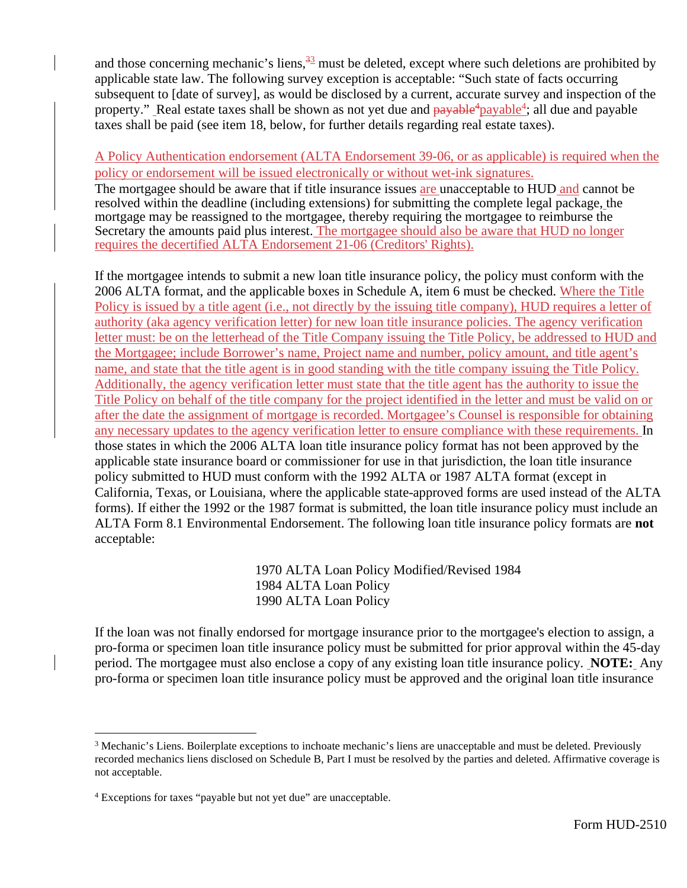and those concerning mechanic's liens,  $33$  must be deleted, except where such deletions are prohibited by applicable state law. The following survey exception is acceptable: "Such state of facts occurring subsequent to [date of survey], as would be disclosed by a current, accurate survey and inspection of the property." Real estate taxes shall be shown as not yet due and **payable**<sup>4</sup> payable<sup>4</sup>; all due and payable taxes shall be paid (see item 18, below, for further details regarding real estate taxes).

A Policy Authentication endorsement (ALTA Endorsement 39-06, or as applicable) is required when the policy or endorsement will be issued electronically or without wet-ink signatures.

The mortgagee should be aware that if title insurance issues are unacceptable to HUD and cannot be resolved within the deadline (including extensions) for submitting the complete legal package, the mortgage may be reassigned to the mortgagee, thereby requiring the mortgagee to reimburse the Secretary the amounts paid plus interest. The mortgagee should also be aware that HUD no longer requires the decertified ALTA Endorsement 21-06 (Creditors' Rights).

If the mortgagee intends to submit a new loan title insurance policy, the policy must conform with the 2006 ALTA format, and the applicable boxes in Schedule A, item 6 must be checked. Where the Title Policy is issued by a title agent (i.e., not directly by the issuing title company), HUD requires a letter of authority (aka agency verification letter) for new loan title insurance policies. The agency verification letter must: be on the letterhead of the Title Company issuing the Title Policy, be addressed to HUD and the Mortgagee; include Borrower's name, Project name and number, policy amount, and title agent's name, and state that the title agent is in good standing with the title company issuing the Title Policy. Additionally, the agency verification letter must state that the title agent has the authority to issue the Title Policy on behalf of the title company for the project identified in the letter and must be valid on or after the date the assignment of mortgage is recorded. Mortgagee's Counsel is responsible for obtaining any necessary updates to the agency verification letter to ensure compliance with these requirements. In those states in which the 2006 ALTA loan title insurance policy format has not been approved by the applicable state insurance board or commissioner for use in that jurisdiction, the loan title insurance policy submitted to HUD must conform with the 1992 ALTA or 1987 ALTA format (except in California, Texas, or Louisiana, where the applicable state-approved forms are used instead of the ALTA forms). If either the 1992 or the 1987 format is submitted, the loan title insurance policy must include an ALTA Form 8.1 Environmental Endorsement. The following loan title insurance policy formats are **not** acceptable:

> 1970 ALTA Loan Policy Modified/Revised 1984 1984 ALTA Loan Policy 1990 ALTA Loan Policy

If the loan was not finally endorsed for mortgage insurance prior to the mortgagee's election to assign, a pro-forma or specimen loan title insurance policy must be submitted for prior approval within the 45-day period. The mortgagee must also enclose a copy of any existing loan title insurance policy. **NOTE:** Any pro-forma or specimen loan title insurance policy must be approved and the original loan title insurance

<sup>&</sup>lt;sup>3</sup> Mechanic's Liens. Boilerplate exceptions to inchoate mechanic's liens are unacceptable and must be deleted. Previously recorded mechanics liens disclosed on Schedule B, Part I must be resolved by the parties and deleted. Affirmative coverage is not acceptable.

<sup>4</sup> Exceptions for taxes "payable but not yet due" are unacceptable.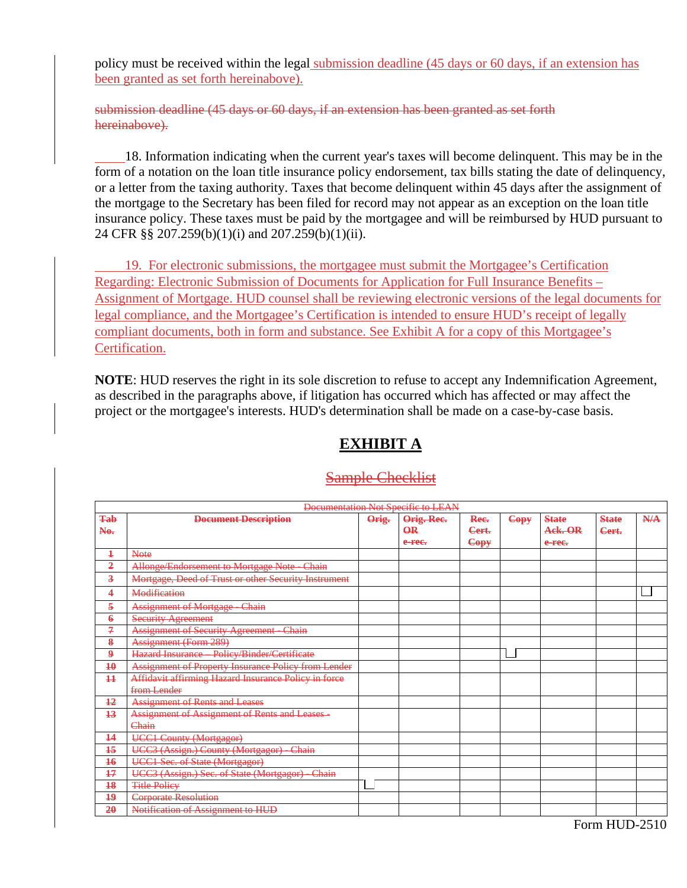policy must be received within the legal submission deadline (45 days or 60 days, if an extension has been granted as set forth hereinabove).

submission deadline (45 days or 60 days, if an extension has been granted as set forth hereinabove).

18. Information indicating when the current year's taxes will become delinquent. This may be in the form of a notation on the loan title insurance policy endorsement, tax bills stating the date of delinquency, or a letter from the taxing authority. Taxes that become delinquent within 45 days after the assignment of the mortgage to the Secretary has been filed for record may not appear as an exception on the loan title insurance policy. These taxes must be paid by the mortgagee and will be reimbursed by HUD pursuant to 24 CFR §§ 207.259(b)(1)(i) and 207.259(b)(1)(ii).

 19. For electronic submissions, the mortgagee must submit the Mortgagee's Certification Regarding: Electronic Submission of Documents for Application for Full Insurance Benefits – Assignment of Mortgage. HUD counsel shall be reviewing electronic versions of the legal documents for legal compliance, and the Mortgagee's Certification is intended to ensure HUD's receipt of legally compliant documents, both in form and substance. See Exhibit A for a copy of this Mortgagee's Certification.

**NOTE**: HUD reserves the right in its sole discretion to refuse to accept any Indemnification Agreement, as described in the paragraphs above, if litigation has occurred which has affected or may affect the project or the mortgagee's interests. HUD's determination shall be made on a case-by-case basis.

## **EXHIBIT A**

|                   | Documentation Not Specific to LEAN                         |       |                            |                       |      |                            |                       |     |  |
|-------------------|------------------------------------------------------------|-------|----------------------------|-----------------------|------|----------------------------|-----------------------|-----|--|
| <b>Tab</b><br>No. | <b>Document Description</b>                                | Orig. | Orig. Ree.<br>AR<br>e-ree. | Rec.<br>Cert.<br>Copy | Copy | State<br>Aek, OR<br>e-rec. | <b>State</b><br>Cert. | N/A |  |
| 1                 | Note                                                       |       |                            |                       |      |                            |                       |     |  |
| 2                 | Allonge/Endorsement to Mortgage Note<br>Chain              |       |                            |                       |      |                            |                       |     |  |
| 3                 | Mortgage, Deed of Trust or other Security Instrument       |       |                            |                       |      |                            |                       |     |  |
|                   | Modification                                               |       |                            |                       |      |                            |                       |     |  |
| 5                 | <b>Assignment of Mortgage - Chain</b>                      |       |                            |                       |      |                            |                       |     |  |
| 6                 | <b>Security Agreement</b>                                  |       |                            |                       |      |                            |                       |     |  |
| 7                 | <b>Assignment of Security Agreement</b><br>Chain           |       |                            |                       |      |                            |                       |     |  |
| 8                 | Assignment (Form 289)                                      |       |                            |                       |      |                            |                       |     |  |
| 9                 | Hazard Insurance Policy/Binder/Certificate                 |       |                            |                       |      |                            |                       |     |  |
| 40                | <b>Assignment of Property Insurance Policy from Lender</b> |       |                            |                       |      |                            |                       |     |  |
| $\overline{11}$   | Affidavit affirming Hazard Insurance Policy in force       |       |                            |                       |      |                            |                       |     |  |
|                   | from Lender                                                |       |                            |                       |      |                            |                       |     |  |
| $\overline{12}$   | <b>Assignment of Rents and Leases</b>                      |       |                            |                       |      |                            |                       |     |  |
| 13                | <b>Assignment of Assignment of Rents and Leases-</b>       |       |                            |                       |      |                            |                       |     |  |
|                   | Chain                                                      |       |                            |                       |      |                            |                       |     |  |
| 44                | <b>UCC1 County (Mortgagor)</b>                             |       |                            |                       |      |                            |                       |     |  |
| 15                | Chain<br>UCC3 (Assign.) County (Mortgagor)                 |       |                            |                       |      |                            |                       |     |  |
| 16                | <b>UCC1 Sec. of State (Mortgagor)</b>                      |       |                            |                       |      |                            |                       |     |  |
| 17                | UCC3 (Assign.) Sec. of State (Mortgagor)<br>Chain          |       |                            |                       |      |                            |                       |     |  |
| 18                | <b>Title Policy</b>                                        |       |                            |                       |      |                            |                       |     |  |
| 49                | <b>Corporate Resolution</b>                                |       |                            |                       |      |                            |                       |     |  |
| 20                | <b>Notification of Assignment to HUD</b>                   |       |                            |                       |      |                            |                       |     |  |

### Sample Checklist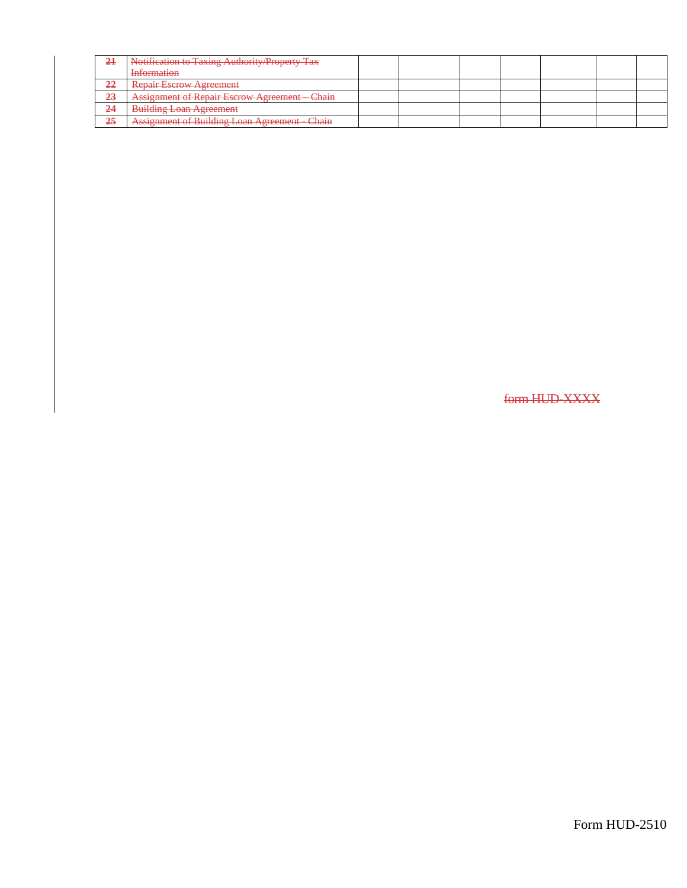| $\overline{21}$ | <b>Notification to Taxing Authority/Property Tax</b><br>Information<br><del>mnormauon</del>             |  |  |  |  |
|-----------------|---------------------------------------------------------------------------------------------------------|--|--|--|--|
| 22              | <b>Repair Escrow Agreement</b>                                                                          |  |  |  |  |
| 23              | <b>Assignment of Repair Escrow Agreement Chain</b>                                                      |  |  |  |  |
| 24              | <b>Building Loan Agreement</b>                                                                          |  |  |  |  |
| 25              | Assignment of Building Loan Agreement Chain<br><del>Abbigilinchi of Dunumg Loan Agreement - Chain</del> |  |  |  |  |

form HUD-XXXX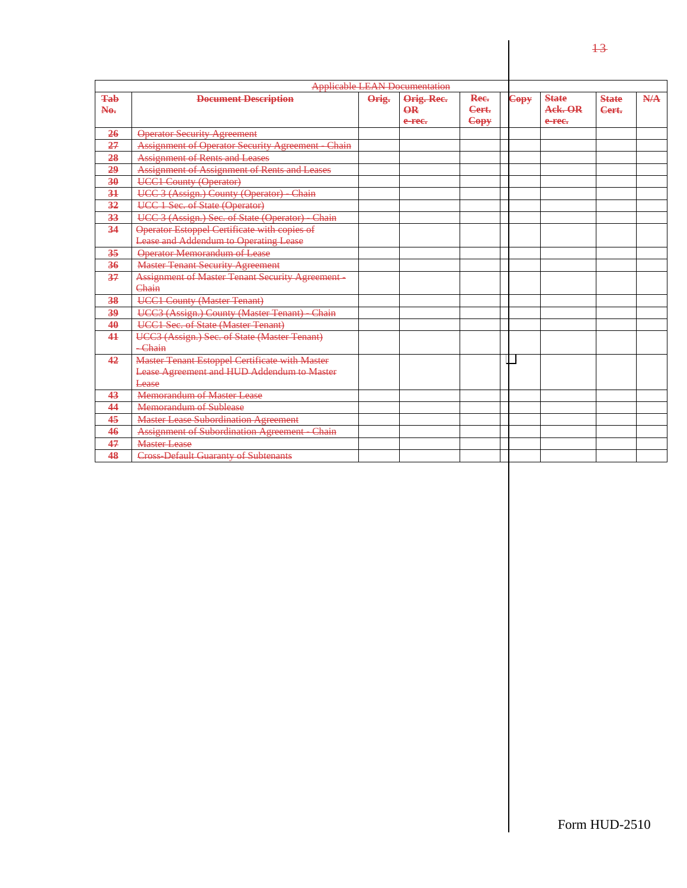|            | <b>Applicable LEAN Documentation</b>                                                                         |       |                                           |                       |      |                                   |                       |     |
|------------|--------------------------------------------------------------------------------------------------------------|-------|-------------------------------------------|-----------------------|------|-----------------------------------|-----------------------|-----|
| Tab<br>No. | <b>Document Description</b>                                                                                  | Orig. | Orig. Rec.<br>$\Theta$ <b>R</b><br>e-ree. | Ree.<br>Cert.<br>Copy | Copy | <b>State</b><br>Aek, OR<br>e-rec. | <b>State</b><br>Cert. | N/A |
| 26         | <b>Operator Security Agreement</b>                                                                           |       |                                           |                       |      |                                   |                       |     |
| 27         | <b>Assignment of Operator Security Agreement - Chain</b>                                                     |       |                                           |                       |      |                                   |                       |     |
| 28         | <b>Assignment of Rents and Leases</b>                                                                        |       |                                           |                       |      |                                   |                       |     |
| 29         | <b>Assignment of Assignment of Rents and Leases</b>                                                          |       |                                           |                       |      |                                   |                       |     |
| 30         | <b>UCC1 County (Operator)</b>                                                                                |       |                                           |                       |      |                                   |                       |     |
| 31         | UCC 3 (Assign.) County (Operator)<br>Chain                                                                   |       |                                           |                       |      |                                   |                       |     |
| 32         | UCC 1 Sec. of State (Operator)                                                                               |       |                                           |                       |      |                                   |                       |     |
| 33         | UCC 3 (Assign.) Sec. of State (Operator)<br>Chain                                                            |       |                                           |                       |      |                                   |                       |     |
| 34         | Operator Estoppel Certificate with copies of<br><b>Lease and Addendum to Operating Lease</b>                 |       |                                           |                       |      |                                   |                       |     |
| 35         | <b>Operator Memorandum of Lease</b>                                                                          |       |                                           |                       |      |                                   |                       |     |
| 36         | <b>Master Tenant Security Agreement</b>                                                                      |       |                                           |                       |      |                                   |                       |     |
| 37         | <b>Assignment of Master Tenant Security Agreement</b><br>Chain                                               |       |                                           |                       |      |                                   |                       |     |
| 38         | <b>UCC1 County (Master Tenant)</b>                                                                           |       |                                           |                       |      |                                   |                       |     |
| 39         | UCC3 (Assign.) County (Master Tenant)<br>Chain                                                               |       |                                           |                       |      |                                   |                       |     |
| 40         | <b>UCC1</b> Sec. of State (Master Tenant)                                                                    |       |                                           |                       |      |                                   |                       |     |
| 41         | UCC3 (Assign.) Sec. of State (Master Tenant)<br>$-Chain$                                                     |       |                                           |                       |      |                                   |                       |     |
| 42         | <b>Master Tenant Estoppel Certificate with Master</b><br>Lease Agreement and HUD Addendum to Master<br>Lease |       |                                           |                       |      |                                   |                       |     |
| 43         | <b>Memorandum of Master Lease</b>                                                                            |       |                                           |                       |      |                                   |                       |     |
| 44         | Memorandum of Sublease                                                                                       |       |                                           |                       |      |                                   |                       |     |
| 45         | <b>Master Lease Subordination Agreement</b>                                                                  |       |                                           |                       |      |                                   |                       |     |
| 46         | <b>Assignment of Subordination Agreement</b><br>Chain                                                        |       |                                           |                       |      |                                   |                       |     |
| 47         | Master Lease                                                                                                 |       |                                           |                       |      |                                   |                       |     |
| 48         | <b>Cross-Default Guaranty of Subtenants</b>                                                                  |       |                                           |                       |      |                                   |                       |     |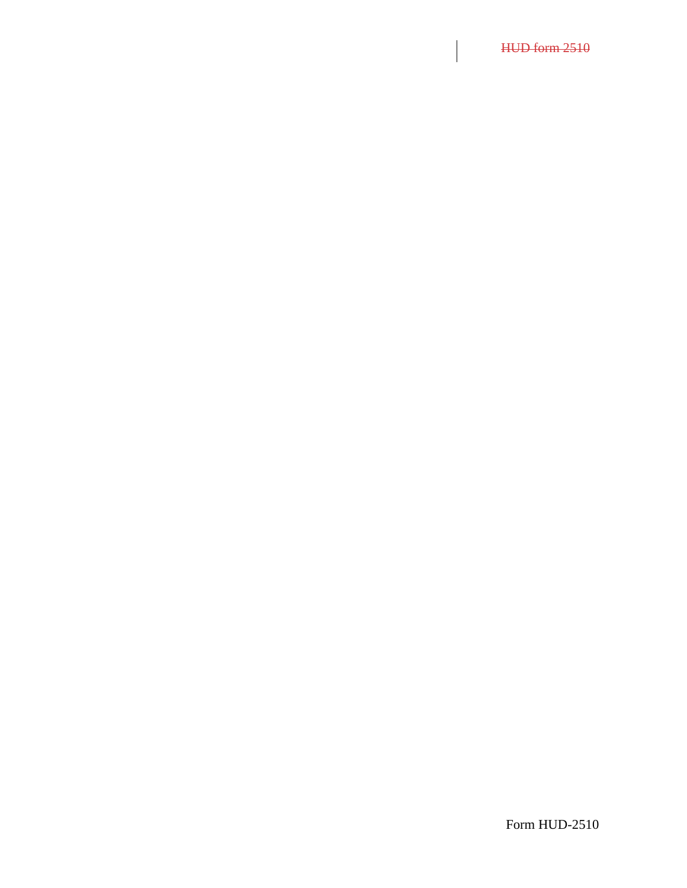#### HUD form 2510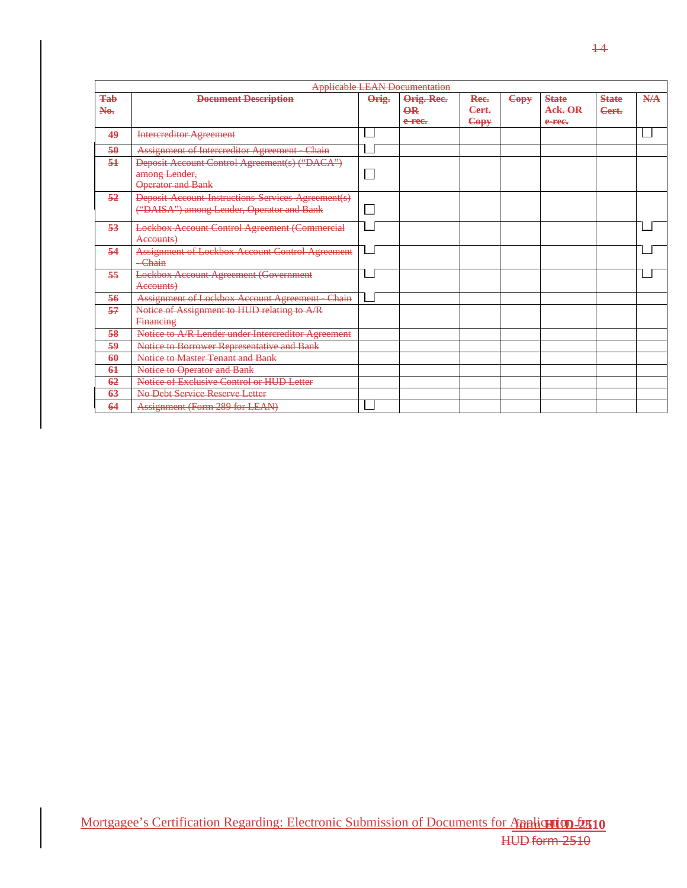|                   |                                                                                                 |       | <b>Applicable LEAN Documentation</b>    |                       |      |                                   |                       |     |
|-------------------|-------------------------------------------------------------------------------------------------|-------|-----------------------------------------|-----------------------|------|-----------------------------------|-----------------------|-----|
| <b>Tab</b><br>No. | <b>Document Description</b>                                                                     | Orig. | Orig. Ree.<br>$\overline{QR}$<br>e-rec. | Ree.<br>Cert.<br>Copy | Copy | <b>State</b><br>Aek. OR<br>e-rec. | <b>State</b><br>Cert. | N/A |
| 49                | <b>Intercreditor Agreement</b>                                                                  |       |                                         |                       |      |                                   |                       |     |
| 50                | <b>Assignment of Intercreditor Agreement</b><br>Chain                                           |       |                                         |                       |      |                                   |                       |     |
| 54                | Deposit Account Control Agreement(s) ("DACA")<br>among Lender,<br><b>Operator and Bank</b>      |       |                                         |                       |      |                                   |                       |     |
| 52                | Deposit Account Instructions Services Agreement(s)<br>("DAISA") among Lender, Operator and Bank |       |                                         |                       |      |                                   |                       |     |
| 53                | Lockbox Account Control Agreement (Commercial<br>Accounts)                                      |       |                                         |                       |      |                                   |                       |     |
| 54                | <b>Assignment of Lockbox Account Control Agreement</b><br>Chain                                 |       |                                         |                       |      |                                   |                       |     |
| 55                | Lockbox Account Agreement (Government<br>Accounts)                                              |       |                                         |                       |      |                                   |                       |     |
| 56                | <b>Assignment of Lockbox Account Agreement -</b><br>Chain                                       |       |                                         |                       |      |                                   |                       |     |
| 57                | Notice of Assignment to HUD relating to A/R<br><b>Financing</b>                                 |       |                                         |                       |      |                                   |                       |     |
| 58                | Notice to A/R Lender under Intercreditor Agreement                                              |       |                                         |                       |      |                                   |                       |     |
| 59                | Notice to Borrower Representative and Bank                                                      |       |                                         |                       |      |                                   |                       |     |
| 60                | <b>Notice to Master Tenant and Bank</b>                                                         |       |                                         |                       |      |                                   |                       |     |
| 61                | Notice to Operator and Bank                                                                     |       |                                         |                       |      |                                   |                       |     |
| 62                | Notice of Exclusive Control or HUD Letter                                                       |       |                                         |                       |      |                                   |                       |     |
| 63                | No Debt Service Reserve Letter                                                                  |       |                                         |                       |      |                                   |                       |     |
| 64                | Assignment (Form 289 for LEAN)                                                                  |       |                                         |                       |      |                                   |                       |     |